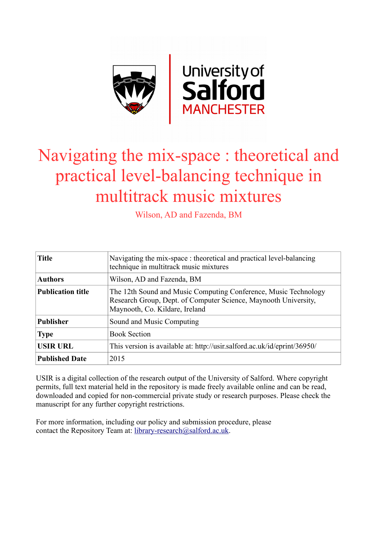

# Navigating the mix-space : theoretical and practical level-balancing technique in multitrack music mixtures

Wilson, AD and Fazenda, BM

| <b>Title</b>             | Navigating the mix-space : theoretical and practical level-balancing<br>technique in multitrack music mixtures                                                       |  |  |  |
|--------------------------|----------------------------------------------------------------------------------------------------------------------------------------------------------------------|--|--|--|
| <b>Authors</b>           | Wilson, AD and Fazenda, BM                                                                                                                                           |  |  |  |
| <b>Publication title</b> | The 12th Sound and Music Computing Conference, Music Technology<br>Research Group, Dept. of Computer Science, Maynooth University,<br>Maynooth, Co. Kildare, Ireland |  |  |  |
| <b>Publisher</b>         | Sound and Music Computing                                                                                                                                            |  |  |  |
| <b>Type</b>              | <b>Book Section</b>                                                                                                                                                  |  |  |  |
| <b>USIR URL</b>          | This version is available at: http://usir.salford.ac.uk/id/eprint/36950/                                                                                             |  |  |  |
| <b>Published Date</b>    | 2015                                                                                                                                                                 |  |  |  |

USIR is a digital collection of the research output of the University of Salford. Where copyright permits, full text material held in the repository is made freely available online and can be read, downloaded and copied for non-commercial private study or research purposes. Please check the manuscript for any further copyright restrictions.

For more information, including our policy and submission procedure, please contact the Repository Team at: [library-research@salford.ac.uk.](mailto:library-research@salford.ac.uk)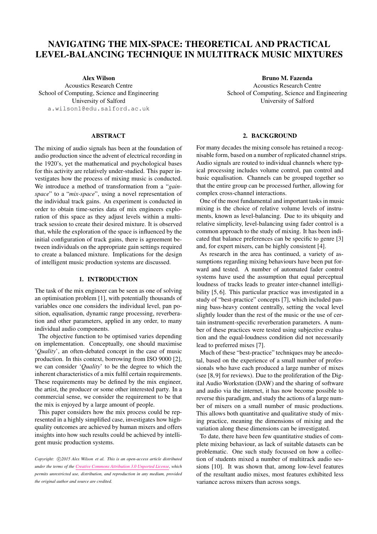# NAVIGATING THE MIX-SPACE: THEORETICAL AND PRACTICAL LEVEL-BALANCING TECHNIQUE IN MULTITRACK MUSIC MIXTURES

Alex Wilson

Acoustics Research Centre School of Computing, Science and Engineering University of Salford [a.wilson1@edu.salford.ac.uk](mailto:a.wilson1@edu.salford.ac.uk)

ABSTRACT

The mixing of audio signals has been at the foundation of audio production since the advent of electrical recording in the 1920's, yet the mathematical and psychological bases for this activity are relatively under-studied. This paper investigates how the process of mixing music is conducted. We introduce a method of transformation from a "*gainspace*" to a "*mix-space*", using a novel representation of the individual track gains. An experiment is conducted in order to obtain time-series data of mix engineers exploration of this space as they adjust levels within a multitrack session to create their desired mixture. It is observed that, while the exploration of the space is influenced by the initial configuration of track gains, there is agreement between individuals on the appropriate gain settings required to create a balanced mixture. Implications for the design of intelligent music production systems are discussed.

## 1. INTRODUCTION

The task of the mix engineer can be seen as one of solving an optimisation problem [\[1\]](#page-8-0), with potentially thousands of variables once one considers the individual level, pan position, equalisation, dynamic range processing, reverberation and other parameters, applied in any order, to many individual audio components.

The objective function to be optimised varies depending on implementation. Conceptually, one should maximise '*Quality*', an often-debated concept in the case of music production. In this context, borrowing from ISO 9000 [\[2\]](#page-8-1), we can consider '*Quality*' to be the degree to which the inherent characteristics of a mix fulfil certain requirements. These requirements may be defined by the mix engineer, the artist, the producer or some other interested party. In a commercial sense, we consider the requirement to be that the mix is enjoyed by a large amount of people.

This paper considers how the mix process could be represented in a highly simplified case, investigates how highquality outcomes are achieved by human mixers and offers insights into how such results could be achieved by intelligent music production systems.

Bruno M. Fazenda Acoustics Research Centre School of Computing, Science and Engineering University of Salford

# 2. BACKGROUND

For many decades the mixing console has retained a recognisable form, based on a number of replicated channel strips. Audio signals are routed to individual channels where typical processing includes volume control, pan control and basic equalisation. Channels can be grouped together so that the entire group can be processed further, allowing for complex cross-channel interactions.

One of the most fundamental and important tasks in music mixing is the choice of relative volume levels of instruments, known as level-balancing. Due to its ubiquity and relative simplicity, level-balancing using fader control is a common approach to the study of mixing. It has been indicated that balance preferences can be specific to genre [\[3\]](#page-8-2) and, for expert mixers, can be highly consistent [\[4\]](#page-8-3).

As research in the area has continued, a variety of assumptions regarding mixing behaviours have been put forward and tested. A number of automated fader control systems have used the assumption that equal perceptual loudness of tracks leads to greater inter-channel intelligi-bility [\[5,](#page-8-4) [6\]](#page-8-5). This particular practice was investigated in a study of "best-practice" concepts [\[7\]](#page-8-6), which included panning bass-heavy content centrally, setting the vocal level slightly louder than the rest of the music or the use of certain instrument-specific reverberation parameters. A number of these practices were tested using subjective evaluation and the equal-loudness condition did not necessarily lead to preferred mixes [\[7\]](#page-8-6).

Much of these "best-practice" techniques may be anecdotal, based on the experience of a small number of professionals who have each produced a large number of mixes (see [\[8,](#page-8-7)[9\]](#page-8-8) for reviews). Due to the proliferation of the Digital Audio Workstation (DAW) and the sharing of software and audio via the internet, it has now become possible to reverse this paradigm, and study the actions of a large number of mixers on a small number of music productions. This allows both quantitative and qualitative study of mixing practice, meaning the dimensions of mixing and the variation along these dimensions can be investigated.

To date, there have been few quantitative studies of complete mixing behaviour, as lack of suitable datasets can be problematic. One such study focussed on how a collection of students mixed a number of multitrack audio sessions [\[10\]](#page-8-9). It was shown that, among low-level features of the resultant audio mixes, most features exhibited less variance across mixers than across songs.

Copyright:  $\bigcirc$ 2015 Alex Wilson et al. This is an open-access article distributed *under the terms of the [Creative Commons Attribution 3.0 Unported License,](http://creativecommons.org/licenses/by/3.0/) which permits unrestricted use, distribution, and reproduction in any medium, provided the original author and source are credited.*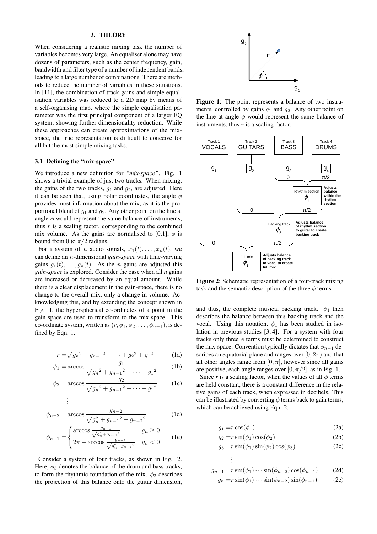#### 3. THEORY

<span id="page-2-4"></span>When considering a realistic mixing task the number of variables becomes very large. An equaliser alone may have dozens of parameters, such as the center frequency, gain, bandwidth and filter type of a number of independent bands, leading to a large number of combinations. There are methods to reduce the number of variables in these situations. In [\[11\]](#page-8-10), the combination of track gains and simple equalisation variables was reduced to a 2D map by means of a self-organising map, where the simple equalisation parameter was the first principal component of a larger EQ system, showing further dimensionality reduction. While these approaches can create approximations of the mixspace, the true representation is difficult to conceive for all but the most simple mixing tasks.

#### 3.1 Defining the "mix-space"

We introduce a new definition for *"mix-space"*. Fig. [1](#page-2-0) shows a trivial example of just two tracks. When mixing, the gains of the two tracks,  $q_1$  and  $q_2$ , are adjusted. Here it can be seen that, using polar coordinates, the angle  $\phi$ provides most information about the mix, as it is the proportional blend of  $g_1$  and  $g_2$ . Any other point on the line at angle  $\phi$  would represent the same balance of instruments, thus  $r$  is a scaling factor, corresponding to the combined mix volume. As the gains are normalised to [0,1],  $\phi$  is bound from 0 to  $\pi/2$  radians.

For a system of n audio signals,  $x_1(t), \ldots, x_n(t)$ , we can define an n-dimensional *gain-space* with time-varying gains  $g_1(t), \ldots, g_n(t)$ . As the *n* gains are adjusted this *gain-space* is explored. Consider the case when all *n* gains are increased or decreased by an equal amount. While there is a clear displacement in the gain-space, there is no change to the overall mix, only a change in volume. Acknowledging this, and by extending the concept shown in Fig. [1,](#page-2-0) the hyperspherical co-ordinates of a point in the gain-space are used to transform to the mix-space. This co-ordinate system, written as  $(r, \phi_1, \phi_2, \dots, \phi_{n-1})$ , is defined by Eqn. [1.](#page-2-1)

<span id="page-2-1"></span>
$$
r = \sqrt{g_n^2 + g_{n-1}^2 + \dots + g_2^2 + g_1^2}
$$
 (1a)

$$
\phi_1 = \arccos \frac{g_1}{\sqrt{g_n^2 + g_{n-1}^2 + \dots + g_1^2}} \qquad (1b)
$$

$$
\phi_2 = \arccos \frac{g_2}{\sqrt{g_n^2 + g_{n-1}^2 + \dots + g_1^2}}
$$
 (1c)

$$
\phi_{n-2} = \arccos \frac{g_{n-2}}{\sqrt{g_n^2 + g_{n-1}^2 + g_{n-2}^2}} \tag{1d}
$$

$$
\phi_{n-1} = \begin{cases} \arccos \frac{g_{n-1}}{\sqrt{g_n^2 + g_{n-1}^2}} & g_n \ge 0\\ 2\pi - \arccos \frac{g_{n-1}}{\sqrt{g_n^2 + g_{n-1}^2}} & g_n < 0 \end{cases}
$$
 (1e)

Consider a system of four tracks, as shown in Fig. [2.](#page-2-2) Here,  $\phi_3$  denotes the balance of the drum and bass tracks, to form the rhythmic foundation of the mix.  $\phi_2$  describes the projection of this balance onto the guitar dimension,

<span id="page-2-0"></span>

Figure 1: The point represents a balance of two instruments, controlled by gains  $q_1$  and  $q_2$ . Any other point on the line at angle  $\phi$  would represent the same balance of instruments, thus  $r$  is a scaling factor.

<span id="page-2-2"></span>

Figure 2: Schematic representation of a four-track mixing task and the semantic description of the three  $\phi$  terms.

and thus, the complete musical backing track.  $\phi_1$  then describes the balance between this backing track and the vocal. Using this notation,  $\phi_1$  has been studied in isolation in previous studies [\[3,](#page-8-2) [4\]](#page-8-3). For a system with four tracks only three  $\phi$  terms must be determined to construct the mix-space. Convention typically dictates that  $\phi_{n-1}$  describes an equatorial plane and ranges over  $[0, 2\pi)$  and that all other angles range from  $[0, \pi]$ , however since all gains are positive, each angle ranges over  $[0, \pi/2]$ , as in Fig. [1.](#page-2-0)

Since *r* is a scaling factor, when the values of all  $\phi$  terms are held constant, there is a constant difference in the relative gains of each track, when expressed in decibels. This can be illustrated by converting  $\phi$  terms back to gain terms, which can be achieved using Eqn. [2.](#page-2-3)

$$
g_1 = r \cos(\phi_1) \tag{2a}
$$

$$
g_2 = r\sin(\phi_1)\cos(\phi_2) \tag{2b}
$$

<span id="page-2-3"></span>
$$
g_3 = r \sin(\phi_1) \sin(\phi_2) \cos(\phi_3)
$$
 (2c)

$$
\vdots
$$
  
\n
$$
q_{n-1} = r \sin(\phi_1) \cdots \sin(\phi_{n-2}) \cos(\phi_{n-1})
$$
 (2d)

$$
g_n = r \sin(\phi_1) \cdots \sin(\phi_{n-2}) \sin(\phi_{n-1})
$$
 (2e)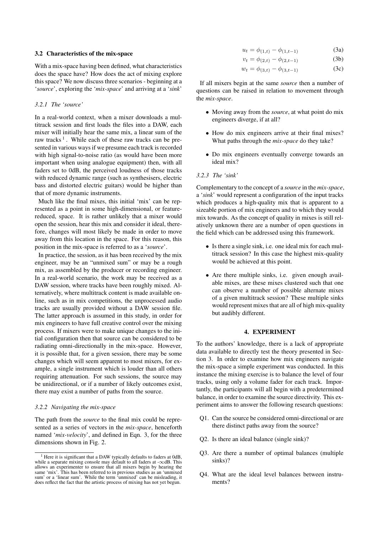#### 3.2 Characteristics of the mix-space

With a mix-space having been defined, what characteristics does the space have? How does the act of mixing explore this space? We now discuss three scenarios - beginning at a '*source*', exploring the '*mix-space*' and arriving at a '*sink*'

#### *3.2.1 The 'source'*

In a real-world context, when a mixer downloads a multitrack session and first loads the files into a DAW, each mixer will initially hear the same mix, a linear sum of the raw tracks<sup>[1](#page-3-0)</sup>. While each of these raw tracks can be presented in various ways if we presume each track is recorded with high signal-to-noise ratio (as would have been more important when using analogue equipment) then, with all faders set to 0dB, the perceived loudness of those tracks with reduced dynamic range (such as synthesisers, electric bass and distorted electric guitars) would be higher than that of more dynamic instruments.

Much like the final mixes, this initial 'mix' can be represented as a point in some high-dimensional, or featurereduced, space. It is rather unlikely that a mixer would open the session, hear this mix and consider it ideal, therefore, changes will most likely be made in order to move away from this location in the space. For this reason, this position in the mix-space is referred to as a '*source*'.

In practice, the session, as it has been received by the mix engineer, may be an "unmixed sum" or may be a rough mix, as assembled by the producer or recording engineer. In a real-world scenario, the work may be received as a DAW session, where tracks have been roughly mixed. Alternatively, where multitrack content is made available online, such as in mix competitions, the unprocessed audio tracks are usually provided without a DAW session file. The latter approach is assumed in this study, in order for mix engineers to have full creative control over the mixing process. If mixers were to make unique changes to the initial configuration then that source can be considered to be radiating omni-directionally in the mix-space. However, it is possible that, for a given session, there may be some changes which will seem apparent to most mixers, for example, a single instrument which is louder than all others requiring attenuation. For such sessions, the source may be unidirectional, or if a number of likely outcomes exist, there may exist a number of paths from the source.

# <span id="page-3-2"></span>*3.2.2 Navigating the mix-space*

The path from the *source* to the final mix could be represented as a series of vectors in the *mix-space*, henceforth named '*mix-velocity*', and defined in Eqn. [3,](#page-3-1) for the three dimensions shown in Fig. [2.](#page-2-2)

$$
u_t = \phi_{(1,t)} - \phi_{(1,t-1)}
$$
 (3a)

$$
v_t = \phi_{(2,t)} - \phi_{(2,t-1)}
$$
 (3b)

$$
w_t = \phi_{(3,t)} - \phi_{(3,t-1)}
$$
 (3c)

If all mixers begin at the same *source* then a number of questions can be raised in relation to movement through the *mix-space*.

- Moving away from the *source*, at what point do mix engineers diverge, if at all?
- How do mix engineers arrive at their final mixes? What paths through the *mix-space* do they take?
- Do mix engineers eventually converge towards an ideal mix?

#### *3.2.3 The 'sink'*

Complementary to the concept of a *source* in the *mix-space*, a '*sink*' would represent a configuration of the input tracks which produces a high-quality mix that is apparent to a sizeable portion of mix engineers and to which they would mix towards. As the concept of quality in mixes is still relatively unknown there are a number of open questions in the field which can be addressed using this framework.

- Is there a single sink, i.e. one ideal mix for each multitrack session? In this case the highest mix-quality would be achieved at this point.
- Are there multiple sinks, i.e. given enough available mixes, are these mixes clustered such that one can observe a number of possible alternate mixes of a given multitrack session? These multiple sinks would represent mixes that are all of high mix-quality but audibly different.

# 4. EXPERIMENT

To the authors' knowledge, there is a lack of appropriate data available to directly test the theory presented in Section [3.](#page-2-4) In order to examine how mix engineers navigate the mix-space a simple experiment was conducted. In this instance the mixing exercise is to balance the level of four tracks, using only a volume fader for each track. Importantly, the participants will all begin with a predetermined balance, in order to examine the source directivity. This experiment aims to answer the following research questions:

- Q1. Can the source be considered omni-directional or are there distinct paths away from the source?
- Q2. Is there an ideal balance (single sink)?
- Q3. Are there a number of optimal balances (multiple sinks)?
- Q4. What are the ideal level balances between instruments?

<span id="page-3-1"></span><span id="page-3-0"></span><sup>&</sup>lt;sup>1</sup> Here it is significant that a DAW typically defaults to faders at 0dB, while a separate mixing console may default to all faders at -∞dB. This allows an experimenter to ensure that all mixers begin by hearing the same 'mix'. This has been referred to in previous studies as an 'unmixed sum' or a 'linear sum'. While the term 'unmixed' can be misleading, it does reflect the fact that the artistic process of mixing has not yet begun.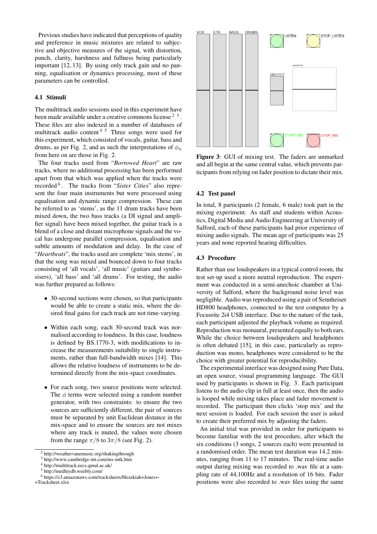Previous studies have indicated that perceptions of quality and preference in music mixtures are related to subjective and objective measures of the signal, with distortion, punch, clarity, harshness and fullness being particularly important [\[12,](#page-8-11) [13\]](#page-8-12). By using only track gain and no panning, equalisation or dynamics processing, most of these parameters can be controlled.

# 4.1 Stimuli

The multitrack audio sessions used in this experiment have been made available under a creative commons license  $2<sup>3</sup>$  $2<sup>3</sup>$  $2<sup>3</sup>$  $2<sup>3</sup>$ . These files are also indexed in a number of databases of multitrack audio content<sup>[4](#page-4-2)[5](#page-4-3)</sup> Three songs were used for this experiment, which consisted of vocals, guitar, bass and drums, as per Fig. [2,](#page-2-2) and as such the interpretations of  $\phi_n$ from here on are those in Fig. [2.](#page-2-2)

The four tracks used from "*Borrowed Heart*" are raw tracks, where no additional processing has been performed apart from that which was applied when the tracks were recorded [6](#page-4-4) . The tracks from "*Sister Cities*" also represent the four main instruments but were processed using equalisation and dynamic range compression. These can be referred to as 'stems', as the 11 drum tracks have been mixed down, the two bass tracks (a DI signal and amplifier signal) have been mixed together, the guitar track is a blend of a close and distant microphone signals and the vocal has undergone parallel compression, equalisation and subtle amounts of modulation and delay. In the case of "*Heartbeats*", the tracks used are complete 'mix stems', in that the song was mixed and bounced down to four tracks consisting of 'all vocals', 'all music' (guitars and synthesisers), 'all bass' and 'all drums'. For testing, the audio was further prepared as follows:

- 30-second sections were chosen, so that participants would be able to create a static mix, where the desired final gains for each track are not time-varying.
- Within each song, each 30-second track was normalised according to loudness. In this case, loudness is defined by BS.1770-3, with modifications to increase the measurements suitability to single instruments, rather than full-bandwidth mixes [\[14\]](#page-8-13). This allows the relative loudness of instruments to be determined directly from the mix-space coordinates.
- For each song, two source positions were selected. The  $\phi$  terms were selected using a random number generator, with two constraints: to ensure the two sources are sufficiently different, the pair of sources must be separated by unit Euclidean distance in the mix-space and to ensure the sources are not mixes where any track is muted, the values were chosen from the range  $\pi/8$  to  $3\pi/8$  (see Fig. [2\)](#page-2-2).

```
+Tracksheet.xlsx
```
<span id="page-4-5"></span>

Figure 3: GUI of mixing test. The faders are unmarked and all begin at the same central value, which prevents participants from relying on fader position to dictate their mix.

#### 4.2 Test panel

In total, 8 participants (2 female, 6 male) took part in the mixing experiment. As staff and students within Acoustics, Digital Media and Audio Engineering at University of Salford, each of these participants had prior experience of mixing audio signals. The mean age of participants was 25 years and none reported hearing difficulties.

## 4.3 Procedure

Rather than use loudspeakers in a typical control room, the test set-up used a more neutral reproduction. The experiment was conducted in a semi-anechoic chamber at University of Salford, where the background noise level was negligible. Audio was reproduced using a pair of Sennheiser HD800 headphones, connected to the test computer by a Focusrite 2i4 USB interface. Due to the nature of the task, each participant adjusted the playback volume as required. Reproduction was monaural, presented equally to both ears. While the choice between loudspeakers and headphones is often debated [\[15\]](#page-8-14), in this case, particularly as reproduction was mono, headphones were considered to be the choice with greater potential for reproducibility.

The experimental interface was designed using Pure Data, an open source, visual programming language. The GUI used by participants is shown in Fig. [3.](#page-4-5) Each participant listens to the audio clip in full at least once, then the audio is looped while mixing takes place and fader movement is recorded. The participant then clicks 'stop mix' and the next session is loaded. For each session the user is asked to create their preferred mix by adjusting the faders.

An initial trial was provided in order for participants to become familiar with the test procedure, after which the six conditions (3 songs, 2 sources each) were presented in a randomised order. The mean test duration was 14.2 minutes, ranging from 11 to 17 minutes. The real-time audio output during mixing was recorded to .wav file at a sampling rate of 44,100Hz and a resolution of 16 bits. Fader positions were also recorded to .wav files using the same

<span id="page-4-0"></span><sup>2</sup> http://weathervanemusic.org/shakingthrough

<span id="page-4-1"></span><sup>3</sup> http://www.cambridge-mt.com/ms-mtk.htm

<span id="page-4-2"></span><sup>4</sup> http://multitrack.eecs.qmul.ac.uk/

<span id="page-4-4"></span><span id="page-4-3"></span><sup>5</sup> http://medleydb.weebly.com/

<sup>6</sup> https://s3.amazonaws.com/tracksheets/Hezekiah+Jones+-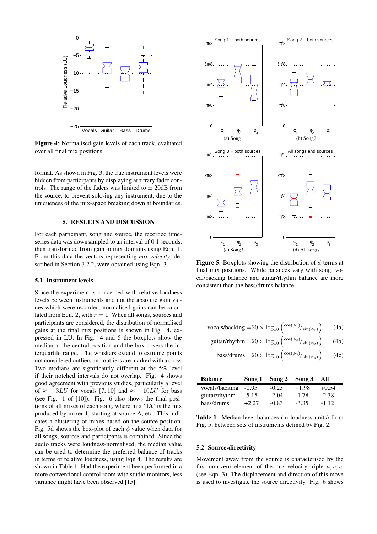<span id="page-5-0"></span>

Figure 4: Normalised gain levels of each track, evaluated over all final mix positions.

format. As shown in Fig. [3,](#page-4-5) the true instrument levels were hidden from participants by displaying arbitrary fader controls. The range of the faders was limited to  $\pm$  20dB from the source, to prevent solo-ing any instrument, due to the uniqueness of the mix-space breaking down at boundaries.

# 5. RESULTS AND DISCUSSION

For each participant, song and source, the recorded timeseries data was downsampled to an interval of 0.1 seconds, then transformed from gain to mix domains using Eqn. [1.](#page-2-1) From this data the vectors representing *mix-velocity*, described in Section [3.2.2,](#page-3-2) were obtained using Eqn. [3.](#page-3-1)

#### 5.1 Instrument levels

Since the experiment is concerned with relative loudness levels between instruments and not the absolute gain values which were recorded, normalised gains can be calcu-lated from Eqn. [2,](#page-2-3) with  $r = 1$ . When all songs, sources and participants are considered, the distribution of normalised gains at the final mix positions is shown in Fig. [4,](#page-5-0) expressed in LU. In Fig. [4](#page-5-0) and [5](#page-5-1) the boxplots show the median at the central position and the box covers the interquartile range. The whiskers extend to extreme points not considered outliers and outliers are marked with a cross. Two medians are significantly different at the 5% level if their notched intervals do not overlap. Fig. [4](#page-5-0) shows good agreement with previous studies, particularly a level of  $\approx -3LU$  for vocals [\[7,](#page-8-6) [10\]](#page-8-9) and  $\approx -10LU$  for bass (see Fig. 1 of [\[10\]](#page-8-9)). Fig. [6](#page-6-0) also shows the final positions of all mixes of each song, where mix '1A' is the mix produced by mixer 1, starting at source A, etc. This indicates a clustering of mixes based on the source position. Fig. [5d](#page-5-2) shows the box-plot of each  $\phi$  value when data for all songs, sources and participants is combined. Since the audio tracks were loudness-normalised, the median value can be used to determine the preferred balance of tracks in terms of relative loudness, using Eqn [4.](#page-5-3) The results are shown in Table [1.](#page-5-4) Had the experiment been performed in a more conventional control room with studio monitors, less variance might have been observed [\[15\]](#page-8-14).

<span id="page-5-5"></span><span id="page-5-1"></span>

<span id="page-5-2"></span>**Figure 5:** Boxplots showing the distribution of  $\phi$  terms at final mix positions. While balances vary with song, vocal/backing balance and guitar/rhythm balance are more consistent than the bass/drums balance.

| vocals/backing = $20 \times \log_{10} \left( \frac{\cos(\phi_1)}{\sin(\phi_1)} \right)$ |  | (4a) |
|-----------------------------------------------------------------------------------------|--|------|
|-----------------------------------------------------------------------------------------|--|------|

$$
\text{guitar/rhythm} = 20 \times \log_{10} \left( \frac{\cos(\phi_2)}{\sin(\phi_2)} \right) \tag{4b}
$$

$$
bass/drums = 20 \times \log_{10} \left( \cos(\phi_3) /_{\sin(\phi_3)} \right) \tag{4c}
$$

<span id="page-5-4"></span>

| <b>Balance</b> | Song 1  | Song 2  | Song 3  | All     |
|----------------|---------|---------|---------|---------|
| vocals/backing | $-0.95$ | $-0.23$ | $+1.98$ | $+0.54$ |
| guitar/rhythm  | $-5.15$ | $-2.04$ | $-1.78$ | $-2.38$ |
| bass/drums     | $+2.27$ | $-0.83$ | $-3.35$ | $-112$  |

Table 1: Median level-balances (in loudness units) from Fig. [5,](#page-5-1) between sets of instruments defined by Fig. [2.](#page-2-2)

# 5.2 Source-directivity

<span id="page-5-3"></span>Movement away from the source is characterised by the first non-zero element of the mix-velocity triple  $u, v, w$ (see Eqn. [3\)](#page-3-1). The displacement and direction of this move is used to investigate the source directivity. Fig. [6](#page-6-0) shows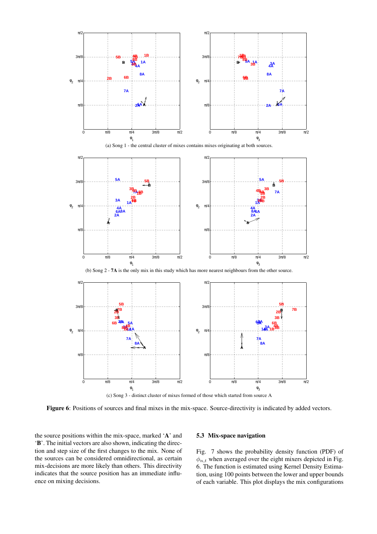

<span id="page-6-1"></span><span id="page-6-0"></span>Figure 6: Positions of sources and final mixes in the mix-space. Source-directivity is indicated by added vectors.

the source positions within the mix-space, marked 'A' and 'B'. The initial vectors are also shown, indicating the direction and step size of the first changes to the mix. None of the sources can be considered omnidirectional, as certain mix-decisions are more likely than others. This directivity indicates that the source position has an immediate influence on mixing decisions.

# 5.3 Mix-space navigation

Fig. [7](#page-7-0) shows the probability density function (PDF) of  $\phi_{n,t}$  when averaged over the eight mixers depicted in Fig. [6.](#page-6-0) The function is estimated using Kernel Density Estimation, using 100 points between the lower and upper bounds of each variable. This plot displays the mix configurations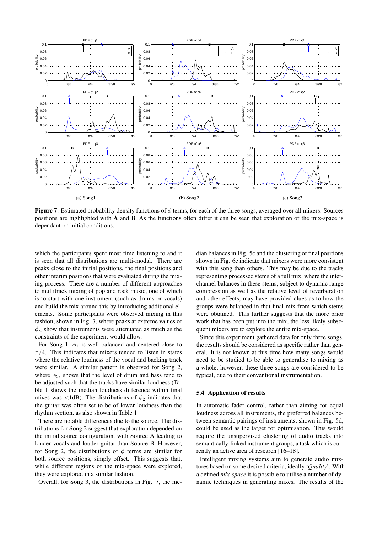

<span id="page-7-0"></span>Figure 7: Estimated probability density functions of  $\phi$  terms, for each of the three songs, averaged over all mixers. Sources positions are highlighted with A and B. As the functions often differ it can be seen that exploration of the mix-space is dependant on initial conditions.

which the participants spent most time listening to and it is seen that all distributions are multi-modal. There are peaks close to the initial positions, the final positions and other interim positions that were evaluated during the mixing process. There are a number of different approaches to multitrack mixing of pop and rock music, one of which is to start with one instrument (such as drums or vocals) and build the mix around this by introducing additional elements. Some participants were observed mixing in this fashion, shown in Fig. [7,](#page-7-0) where peaks at extreme values of  $\phi_n$  show that instruments were attenuated as much as the constraints of the experiment would allow.

For Song 1,  $\phi_1$  is well balanced and centered close to  $\pi/4$ . This indicates that mixers tended to listen in states where the relative loudness of the vocal and backing track were similar. A similar pattern is observed for Song 2, where  $\phi_3$ , shows that the level of drum and bass tend to be adjusted such that the tracks have similar loudness (Table [1](#page-5-4) shows the median loudness difference within final mixes was <1dB). The distributions of  $\phi_2$  indicates that the guitar was often set to be of lower loudness than the rhythm section, as also shown in Table [1.](#page-5-4)

There are notable differences due to the source. The distributions for Song 2 suggest that exploration depended on the initial source configuration, with Source A leading to louder vocals and louder guitar than Source B. However, for Song 2, the distributions of  $\phi$  terms are similar for both source positions, simply offset. This suggests that, while different regions of the mix-space were explored, they were explored in a similar fashion.

Overall, for Song 3, the distributions in Fig. [7,](#page-7-0) the me-

dian balances in Fig. [5c](#page-5-5) and the clustering of final positions shown in Fig. [6c](#page-6-1) indicate that mixers were more consistent with this song than others. This may be due to the tracks representing processed stems of a full mix, where the interchannel balances in these stems, subject to dynamic range compression as well as the relative level of reverberation and other effects, may have provided clues as to how the groups were balanced in that final mix from which stems were obtained. This further suggests that the more prior work that has been put into the mix, the less likely subsequent mixers are to explore the entire mix-space.

Since this experiment gathered data for only three songs, the results should be considered as specific rather than general. It is not known at this time how many songs would need to be studied to be able to generalise to mixing as a whole, however, these three songs are considered to be typical, due to their conventional instrumentation.

#### 5.4 Application of results

In automatic fader control, rather than aiming for equal loudness across all instruments, the preferred balances between semantic pairings of instruments, shown in Fig. [5d,](#page-5-2) could be used as the target for optimisation. This would require the unsupervised clustering of audio tracks into semantically-linked instrument groups, a task which is currently an active area of research [\[16](#page-8-15)[–18\]](#page-8-16).

Intelligent mixing systems aim to generate audio mixtures based on some desired criteria, ideally '*Quality*'. With a defined *mix-space* it is possible to utilise a number of dynamic techniques in generating mixes. The results of the